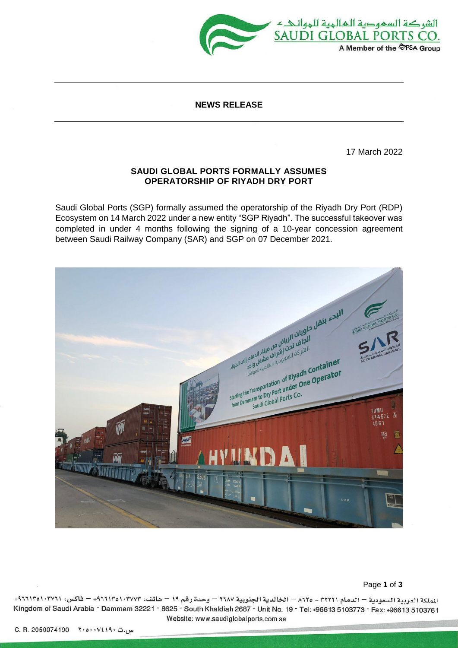

### **NEWS RELEASE**

17 March 2022

# **SAUDI GLOBAL PORTS FORMALLY ASSUMES OPERATORSHIP OF RIYADH DRY PORT**

Saudi Global Ports (SGP) formally assumed the operatorship of the Riyadh Dry Port (RDP) Ecosystem on 14 March 2022 under a new entity "SGP Riyadh". The successful takeover was completed in under 4 months following the signing of a 10-year concession agreement between Saudi Railway Company (SAR) and SGP on 07 December 2021.



#### Page **1** of **3**

الملكة العربية السعودية — الدمام ٢٢٢١١ \_ ٨٦٢٥ — الخالدية الجنوبية ٢٦٨٧ — وحدة رقم ١٩ — هاتف: ١٠٣٧٢٧٢- ١٠٦٢١٢٥١٠٣٧١+ — فاكس: ٩٦٦٦١٣٥١٠٣٧٢١+ Kingdom of Saudi Arabia - Dammam 32221 - 8625 - South Khaldiah 2687 - Unit No. 19 - Tel: +96613 5103773 - Fax: +96613 5103761 Website: www.saudiglobalports.com.sa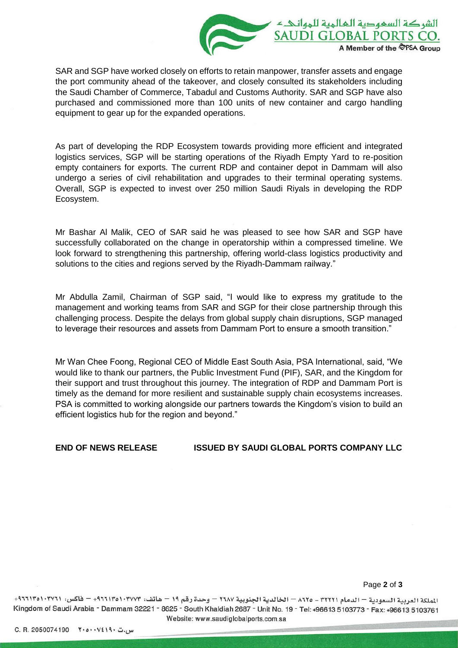

SAR and SGP have worked closely on efforts to retain manpower, transfer assets and engage the port community ahead of the takeover, and closely consulted its stakeholders including the Saudi Chamber of Commerce, Tabadul and Customs Authority. SAR and SGP have also purchased and commissioned more than 100 units of new container and cargo handling equipment to gear up for the expanded operations.

As part of developing the RDP Ecosystem towards providing more efficient and integrated logistics services, SGP will be starting operations of the Riyadh Empty Yard to re-position empty containers for exports. The current RDP and container depot in Dammam will also undergo a series of civil rehabilitation and upgrades to their terminal operating systems. Overall, SGP is expected to invest over 250 million Saudi Riyals in developing the RDP Ecosystem.

Mr Bashar Al Malik, CEO of SAR said he was pleased to see how SAR and SGP have successfully collaborated on the change in operatorship within a compressed timeline. We look forward to strengthening this partnership, offering world-class logistics productivity and solutions to the cities and regions served by the Riyadh-Dammam railway."

Mr Abdulla Zamil, Chairman of SGP said, "I would like to express my gratitude to the management and working teams from SAR and SGP for their close partnership through this challenging process. Despite the delays from global supply chain disruptions, SGP managed to leverage their resources and assets from Dammam Port to ensure a smooth transition."

Mr Wan Chee Foong, Regional CEO of Middle East South Asia, PSA International, said, "We would like to thank our partners, the Public Investment Fund (PIF), SAR, and the Kingdom for their support and trust throughout this journey. The integration of RDP and Dammam Port is timely as the demand for more resilient and sustainable supply chain ecosystems increases. PSA is committed to working alongside our partners towards the Kingdom's vision to build an efficient logistics hub for the region and beyond."

#### **END OF NEWS RELEASE ISSUED BY SAUDI GLOBAL PORTS COMPANY LLC**

Page **2** of **3**

الملكة العربية السعودية — الدمام ٢٢٢١١ - ٨٦٢٥ — الخالدية الجنوبية ٢٦٨٧ — وحدة رقم ١٩ — هاتف: ١٠٣٧٢٧٣- ١٠٣٥١٠٣٧٩+ — فاكس: ٩٦٦١٣٥١٠٣٧٢١+ Kingdom of Saudi Arabia - Dammam 32221 - 8625 - South Khaldiah 2687 - Unit No. 19 - Tel: +96613 5103773 - Fax: +96613 5103761 Website: www.saudiglobalports.com.sa